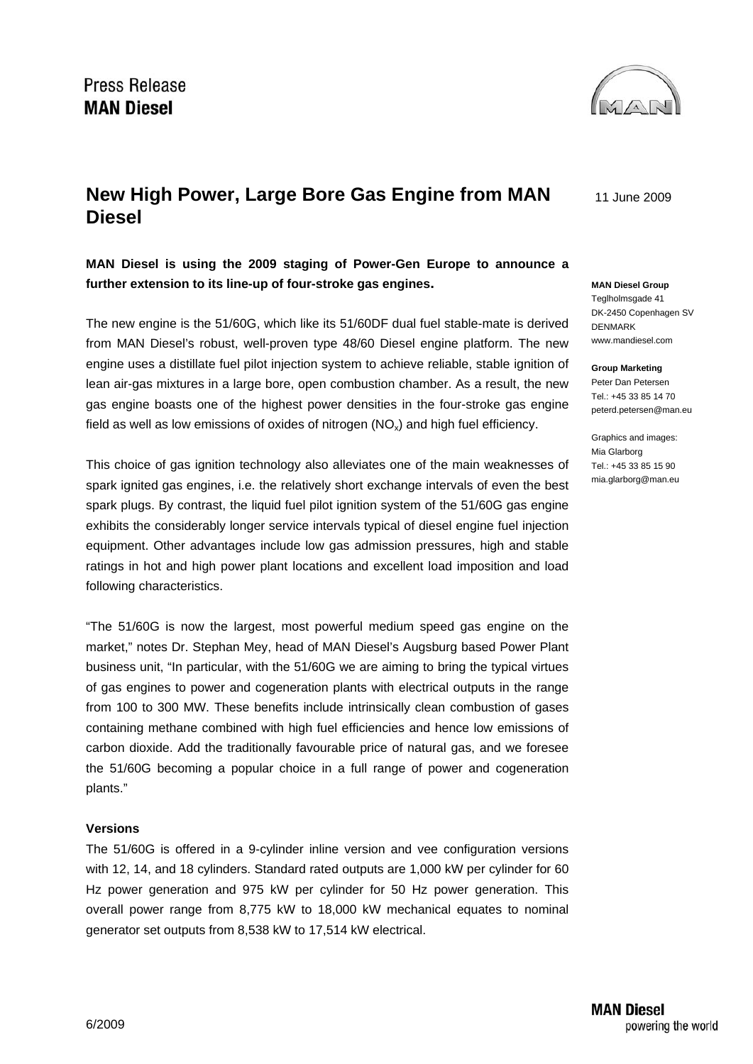

11 June 2009

# **New High Power, Large Bore Gas Engine from MAN Diesel**

**MAN Diesel is using the 2009 staging of Power-Gen Europe to announce a further extension to its line-up of four-stroke gas engines.** 

The new engine is the 51/60G, which like its 51/60DF dual fuel stable-mate is derived from MAN Diesel's robust, well-proven type 48/60 Diesel engine platform. The new engine uses a distillate fuel pilot injection system to achieve reliable, stable ignition of lean air-gas mixtures in a large bore, open combustion chamber. As a result, the new gas engine boasts one of the highest power densities in the four-stroke gas engine field as well as low emissions of oxides of nitrogen  $(NO<sub>x</sub>)$  and high fuel efficiency.

This choice of gas ignition technology also alleviates one of the main weaknesses of spark ignited gas engines, i.e. the relatively short exchange intervals of even the best spark plugs. By contrast, the liquid fuel pilot ignition system of the 51/60G gas engine exhibits the considerably longer service intervals typical of diesel engine fuel injection equipment. Other advantages include low gas admission pressures, high and stable ratings in hot and high power plant locations and excellent load imposition and load following characteristics.

"The 51/60G is now the largest, most powerful medium speed gas engine on the market," notes Dr. Stephan Mey, head of MAN Diesel's Augsburg based Power Plant business unit, "In particular, with the 51/60G we are aiming to bring the typical virtues of gas engines to power and cogeneration plants with electrical outputs in the range from 100 to 300 MW. These benefits include intrinsically clean combustion of gases containing methane combined with high fuel efficiencies and hence low emissions of carbon dioxide. Add the traditionally favourable price of natural gas, and we foresee the 51/60G becoming a popular choice in a full range of power and cogeneration plants."

### **Versions**

The 51/60G is offered in a 9-cylinder inline version and vee configuration versions with 12, 14, and 18 cylinders. Standard rated outputs are 1,000 kW per cylinder for 60 Hz power generation and 975 kW per cylinder for 50 Hz power generation. This overall power range from 8,775 kW to 18,000 kW mechanical equates to nominal generator set outputs from 8,538 kW to 17,514 kW electrical.

## **MAN Diesel Group**  Teglholmsgade 41

DK-2450 Copenhagen SV DENMARK www.mandiesel.com

#### **Group Marketing**

Peter Dan Petersen Tel.: +45 33 85 14 70 peterd.petersen@man.eu

Graphics and images: Mia Glarborg Tel.: +45 33 85 15 90 mia.glarborg@man.eu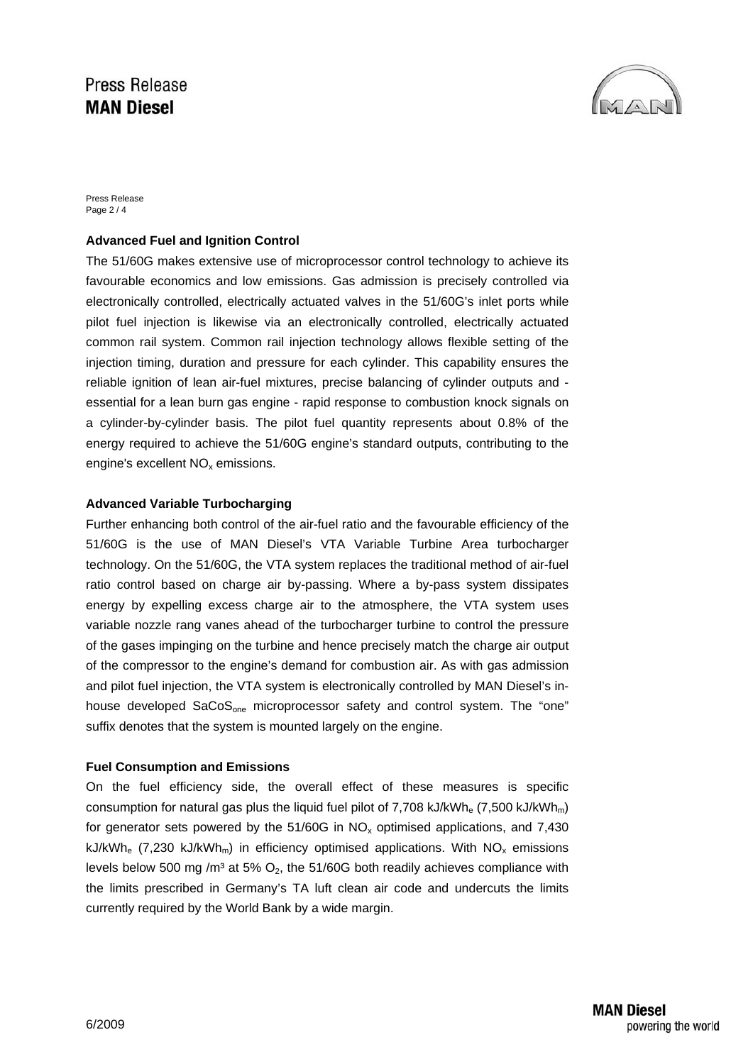## **Press Release MAN Diesel**



Press Release Page 2 / 4

## **Advanced Fuel and Ignition Control**

The 51/60G makes extensive use of microprocessor control technology to achieve its favourable economics and low emissions. Gas admission is precisely controlled via electronically controlled, electrically actuated valves in the 51/60G's inlet ports while pilot fuel injection is likewise via an electronically controlled, electrically actuated common rail system. Common rail injection technology allows flexible setting of the injection timing, duration and pressure for each cylinder. This capability ensures the reliable ignition of lean air-fuel mixtures, precise balancing of cylinder outputs and essential for a lean burn gas engine - rapid response to combustion knock signals on a cylinder-by-cylinder basis. The pilot fuel quantity represents about 0.8% of the energy required to achieve the 51/60G engine's standard outputs, contributing to the engine's excellent  $NO<sub>x</sub>$  emissions.

### **Advanced Variable Turbocharging**

Further enhancing both control of the air-fuel ratio and the favourable efficiency of the 51/60G is the use of MAN Diesel's VTA Variable Turbine Area turbocharger technology. On the 51/60G, the VTA system replaces the traditional method of air-fuel ratio control based on charge air by-passing. Where a by-pass system dissipates energy by expelling excess charge air to the atmosphere, the VTA system uses variable nozzle rang vanes ahead of the turbocharger turbine to control the pressure of the gases impinging on the turbine and hence precisely match the charge air output of the compressor to the engine's demand for combustion air. As with gas admission and pilot fuel injection, the VTA system is electronically controlled by MAN Diesel's inhouse developed SaCoS<sub>one</sub> microprocessor safety and control system. The "one" suffix denotes that the system is mounted largely on the engine.

### **Fuel Consumption and Emissions**

On the fuel efficiency side, the overall effect of these measures is specific consumption for natural gas plus the liquid fuel pilot of 7,708 kJ/kWh<sub>e</sub> (7,500 kJ/kWh<sub>m</sub>) for generator sets powered by the  $51/60G$  in NO<sub>x</sub> optimised applications, and 7,430 kJ/kWh<sub>e</sub> (7,230 kJ/kWh<sub>m</sub>) in efficiency optimised applications. With  $NO_x$  emissions levels below 500 mg /m<sup>3</sup> at 5%  $O_2$ , the 51/60G both readily achieves compliance with the limits prescribed in Germany's TA luft clean air code and undercuts the limits currently required by the World Bank by a wide margin.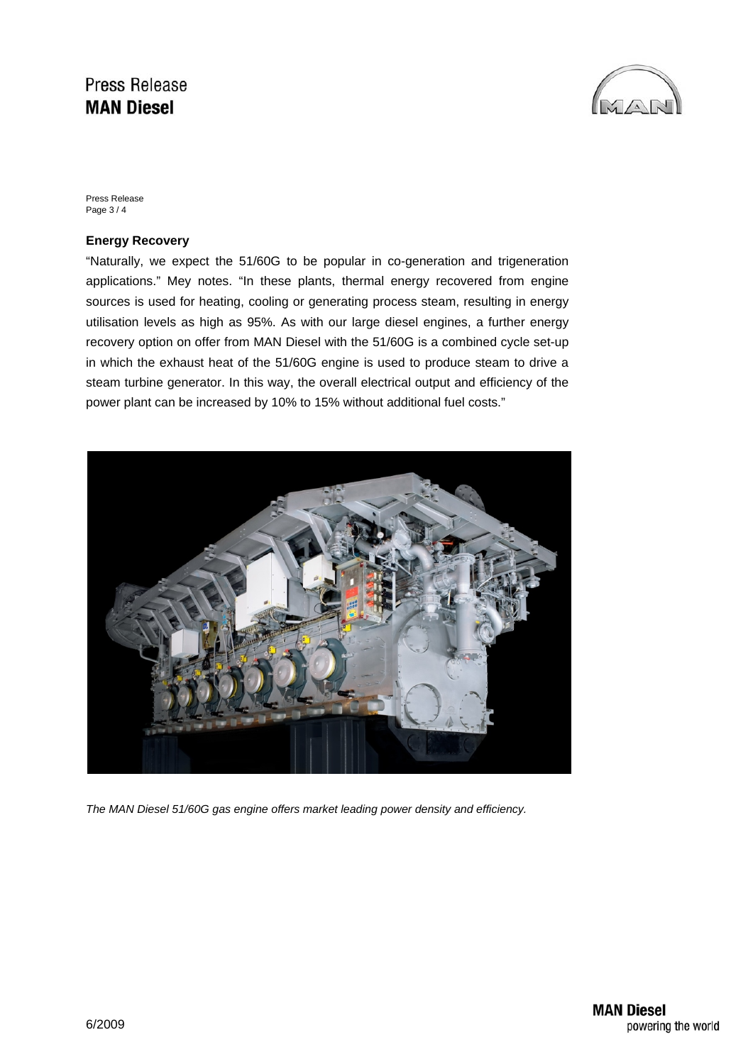## **Press Release MAN Diesel**



Press Release Page 3 / 4

### **Energy Recovery**

"Naturally, we expect the 51/60G to be popular in co-generation and trigeneration applications." Mey notes. "In these plants, thermal energy recovered from engine sources is used for heating, cooling or generating process steam, resulting in energy utilisation levels as high as 95%. As with our large diesel engines, a further energy recovery option on offer from MAN Diesel with the 51/60G is a combined cycle set-up in which the exhaust heat of the 51/60G engine is used to produce steam to drive a steam turbine generator. In this way, the overall electrical output and efficiency of the power plant can be increased by 10% to 15% without additional fuel costs."



*The MAN Diesel 51/60G gas engine offers market leading power density and efficiency.*